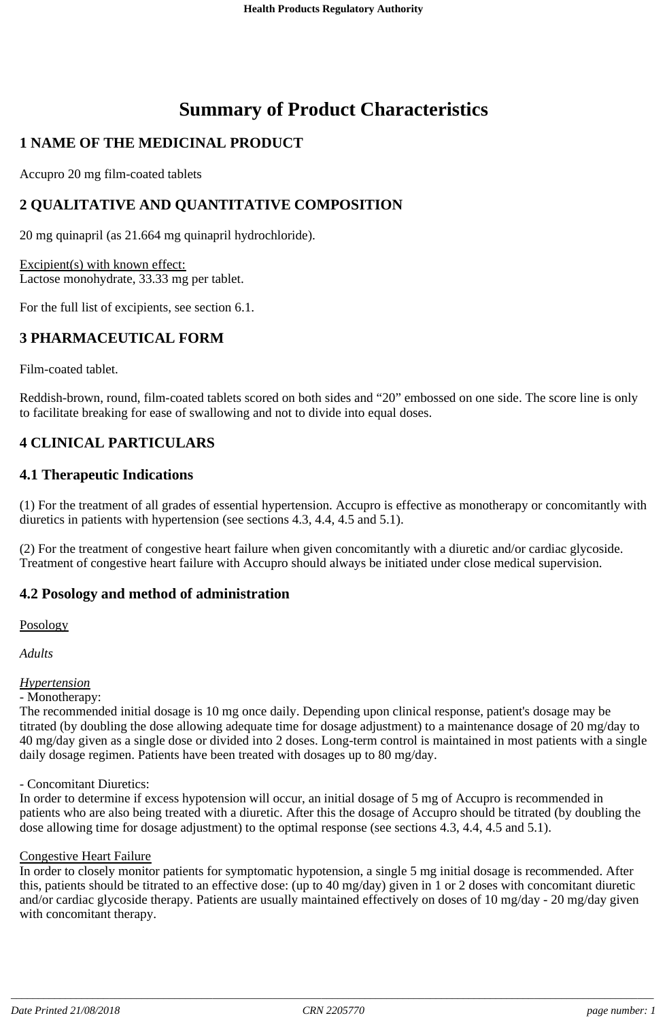# **Summary of Product Characteristics**

## **1 NAME OF THE MEDICINAL PRODUCT**

Accupro 20 mg film-coated tablets

## **2 QUALITATIVE AND QUANTITATIVE COMPOSITION**

20 mg quinapril (as 21.664 mg quinapril hydrochloride).

Excipient(s) with known effect: Lactose monohydrate, 33.33 mg per tablet.

For the full list of excipients, see section 6.1.

## **3 PHARMACEUTICAL FORM**

Film-coated tablet.

Reddish-brown, round, film-coated tablets scored on both sides and "20" embossed on one side. The score line is only to facilitate breaking for ease of swallowing and not to divide into equal doses.

## **4 CLINICAL PARTICULARS**

## **4.1 Therapeutic Indications**

(1) For the treatment of all grades of essential hypertension. Accupro is effective as monotherapy or concomitantly with diuretics in patients with hypertension (see sections 4.3, 4.4, 4.5 and 5.1).

(2) For the treatment of congestive heart failure when given concomitantly with a diuretic and/or cardiac glycoside. Treatment of congestive heart failure with Accupro should always be initiated under close medical supervision.

## **4.2 Posology and method of administration**

Posology

*Adults*

## *Hypertension*

- Monotherapy:

The recommended initial dosage is 10 mg once daily. Depending upon clinical response, patient's dosage may be titrated (by doubling the dose allowing adequate time for dosage adjustment) to a maintenance dosage of 20 mg/day to 40 mg/day given as a single dose or divided into 2 doses. Long-term control is maintained in most patients with a single daily dosage regimen. Patients have been treated with dosages up to 80 mg/day.

- Concomitant Diuretics:

In order to determine if excess hypotension will occur, an initial dosage of 5 mg of Accupro is recommended in patients who are also being treated with a diuretic. After this the dosage of Accupro should be titrated (by doubling the dose allowing time for dosage adjustment) to the optimal response (see sections 4.3, 4.4, 4.5 and 5.1).

### Congestive Heart Failure

In order to closely monitor patients for symptomatic hypotension, a single 5 mg initial dosage is recommended. After this, patients should be titrated to an effective dose: (up to 40 mg/day) given in 1 or 2 doses with concomitant diuretic and/or cardiac glycoside therapy. Patients are usually maintained effectively on doses of 10 mg/day - 20 mg/day given with concomitant therapy.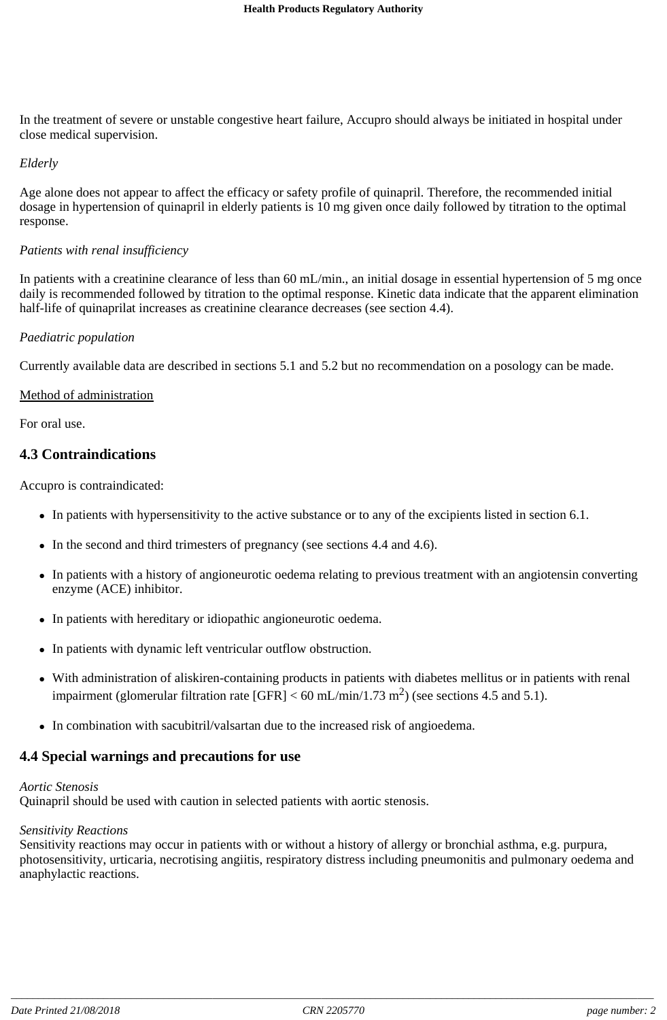In the treatment of severe or unstable congestive heart failure, Accupro should always be initiated in hospital under close medical supervision.

#### *Elderly*

Age alone does not appear to affect the efficacy or safety profile of quinapril. Therefore, the recommended initial dosage in hypertension of quinapril in elderly patients is 10 mg given once daily followed by titration to the optimal response.

### *Patients with renal insufficiency*

In patients with a creatinine clearance of less than 60 mL/min., an initial dosage in essential hypertension of 5 mg once daily is recommended followed by titration to the optimal response. Kinetic data indicate that the apparent elimination half-life of quinaprilat increases as creatinine clearance decreases (see section 4.4).

#### *Paediatric population*

Currently available data are described in sections 5.1 and 5.2 but no recommendation on a posology can be made.

### Method of administration

For oral use.

## **4.3 Contraindications**

Accupro is contraindicated:

- In patients with hypersensitivity to the active substance or to any of the excipients listed in section 6.1.
- In the second and third trimesters of pregnancy (see sections 4.4 and 4.6).
- In patients with a history of angioneurotic oedema relating to previous treatment with an angiotensin converting enzyme (ACE) inhibitor.
- In patients with hereditary or idiopathic angioneurotic oedema.
- In patients with dynamic left ventricular outflow obstruction.
- With administration of aliskiren-containing products in patients with diabetes mellitus or in patients with renal impairment (glomerular filtration rate [GFR] < 60 mL/min/1.73 m<sup>2</sup>) (see sections 4.5 and 5.1).
- In combination with sacubitril/valsartan due to the increased risk of angioedema.

## **4.4 Special warnings and precautions for use**

## *Aortic Stenosis*

Quinapril should be used with caution in selected patients with aortic stenosis.

## *Sensitivity Reactions*

Sensitivity reactions may occur in patients with or without a history of allergy or bronchial asthma, e.g. purpura, photosensitivity, urticaria, necrotising angiitis, respiratory distress including pneumonitis and pulmonary oedema and anaphylactic reactions.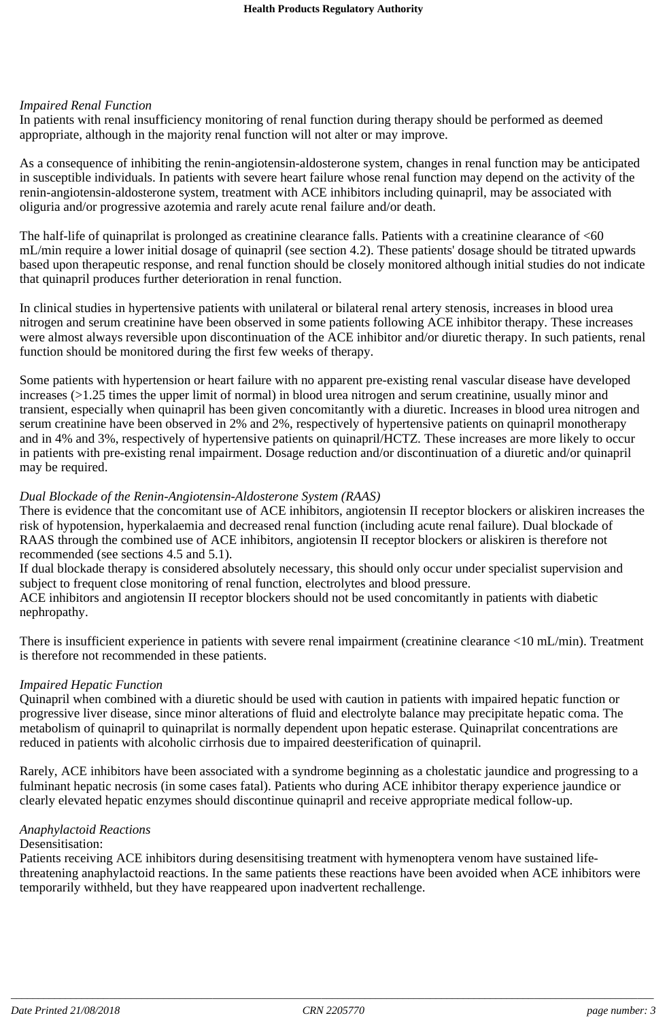### *Impaired Renal Function*

In patients with renal insufficiency monitoring of renal function during therapy should be performed as deemed appropriate, although in the majority renal function will not alter or may improve.

As a consequence of inhibiting the renin-angiotensin-aldosterone system, changes in renal function may be anticipated in susceptible individuals. In patients with severe heart failure whose renal function may depend on the activity of the renin-angiotensin-aldosterone system, treatment with ACE inhibitors including quinapril, may be associated with oliguria and/or progressive azotemia and rarely acute renal failure and/or death.

The half-life of quinaprilat is prolonged as creatinine clearance falls. Patients with a creatinine clearance of <60 mL/min require a lower initial dosage of quinapril (see section 4.2). These patients' dosage should be titrated upwards based upon therapeutic response, and renal function should be closely monitored although initial studies do not indicate that quinapril produces further deterioration in renal function.

In clinical studies in hypertensive patients with unilateral or bilateral renal artery stenosis, increases in blood urea nitrogen and serum creatinine have been observed in some patients following ACE inhibitor therapy. These increases were almost always reversible upon discontinuation of the ACE inhibitor and/or diuretic therapy. In such patients, renal function should be monitored during the first few weeks of therapy.

Some patients with hypertension or heart failure with no apparent pre-existing renal vascular disease have developed increases (>1.25 times the upper limit of normal) in blood urea nitrogen and serum creatinine, usually minor and transient, especially when quinapril has been given concomitantly with a diuretic. Increases in blood urea nitrogen and serum creatinine have been observed in 2% and 2%, respectively of hypertensive patients on quinapril monotherapy and in 4% and 3%, respectively of hypertensive patients on quinapril/HCTZ*.* These increases are more likely to occur in patients with pre-existing renal impairment. Dosage reduction and/or discontinuation of a diuretic and/or quinapril may be required.

### *Dual Blockade of the Renin-Angiotensin-Aldosterone System (RAAS)*

There is evidence that the concomitant use of ACE inhibitors, angiotensin II receptor blockers or aliskiren increases the risk of hypotension, hyperkalaemia and decreased renal function (including acute renal failure). Dual blockade of RAAS through the combined use of ACE inhibitors, angiotensin II receptor blockers or aliskiren is therefore not recommended (see sections 4.5 and 5.1).

If dual blockade therapy is considered absolutely necessary, this should only occur under specialist supervision and subject to frequent close monitoring of renal function, electrolytes and blood pressure.

ACE inhibitors and angiotensin II receptor blockers should not be used concomitantly in patients with diabetic nephropathy.

There is insufficient experience in patients with severe renal impairment (creatinine clearance <10 mL/min). Treatment is therefore not recommended in these patients.

### *Impaired Hepatic Function*

Quinapril when combined with a diuretic should be used with caution in patients with impaired hepatic function or progressive liver disease, since minor alterations of fluid and electrolyte balance may precipitate hepatic coma. The metabolism of quinapril to quinaprilat is normally dependent upon hepatic esterase. Quinaprilat concentrations are reduced in patients with alcoholic cirrhosis due to impaired deesterification of quinapril.

Rarely, ACE inhibitors have been associated with a syndrome beginning as a cholestatic jaundice and progressing to a fulminant hepatic necrosis (in some cases fatal). Patients who during ACE inhibitor therapy experience jaundice or clearly elevated hepatic enzymes should discontinue quinapril and receive appropriate medical follow-up.

## *Anaphylactoid Reactions*

### Desensitisation:

Patients receiving ACE inhibitors during desensitising treatment with hymenoptera venom have sustained lifethreatening anaphylactoid reactions. In the same patients these reactions have been avoided when ACE inhibitors were temporarily withheld, but they have reappeared upon inadvertent rechallenge.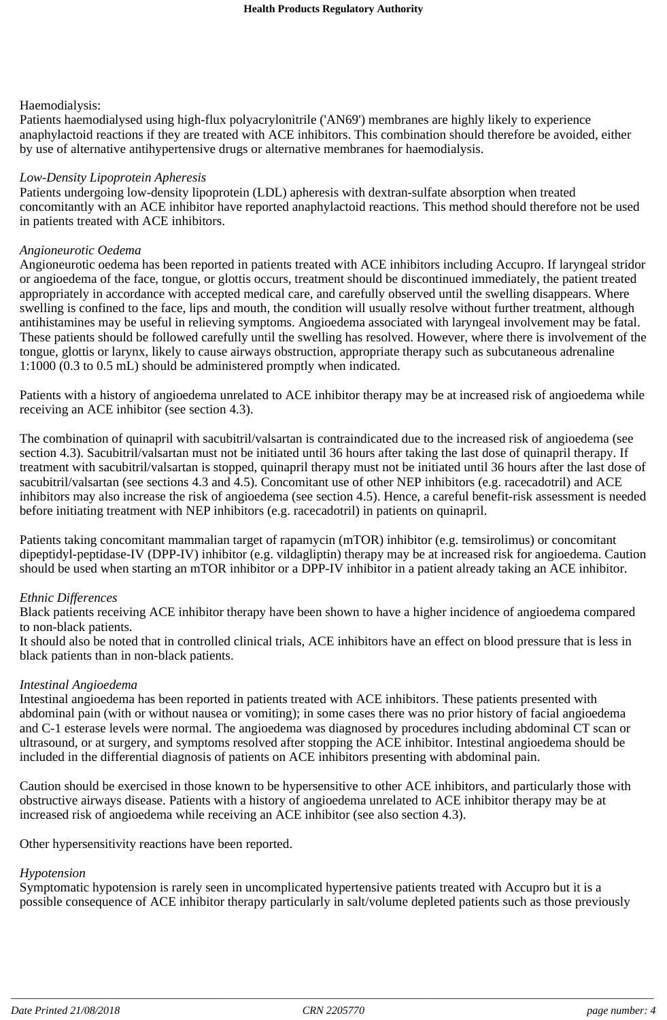### Haemodialysis:

Patients haemodialysed using high-flux polyacrylonitrile ('AN69') membranes are highly likely to experience anaphylactoid reactions if they are treated with ACE inhibitors. This combination should therefore be avoided, either by use of alternative antihypertensive drugs or alternative membranes for haemodialysis.

### *Low-Density Lipoprotein Apheresis*

Patients undergoing low-density lipoprotein (LDL) apheresis with dextran-sulfate absorption when treated concomitantly with an ACE inhibitor have reported anaphylactoid reactions. This method should therefore not be used in patients treated with ACE inhibitors.

#### *Angioneurotic Oedema*

Angioneurotic oedema has been reported in patients treated with ACE inhibitors including Accupro. If laryngeal stridor or angioedema of the face, tongue, or glottis occurs, treatment should be discontinued immediately, the patient treated appropriately in accordance with accepted medical care, and carefully observed until the swelling disappears. Where swelling is confined to the face, lips and mouth, the condition will usually resolve without further treatment, although antihistamines may be useful in relieving symptoms. Angioedema associated with laryngeal involvement may be fatal. These patients should be followed carefully until the swelling has resolved. However, where there is involvement of the tongue, glottis or larynx, likely to cause airways obstruction, appropriate therapy such as subcutaneous adrenaline 1:1000 (0.3 to 0.5 mL) should be administered promptly when indicated.

Patients with a history of angioedema unrelated to ACE inhibitor therapy may be at increased risk of angioedema while receiving an ACE inhibitor (see section 4.3).

The combination of quinapril with sacubitril/valsartan is contraindicated due to the increased risk of angioedema (see section 4.3). Sacubitril/valsartan must not be initiated until 36 hours after taking the last dose of quinapril therapy. If treatment with sacubitril/valsartan is stopped, quinapril therapy must not be initiated until 36 hours after the last dose of sacubitril/valsartan (see sections 4.3 and 4.5). Concomitant use of other NEP inhibitors (e.g. racecadotril) and ACE inhibitors may also increase the risk of angioedema (see section 4.5). Hence, a careful benefit-risk assessment is needed before initiating treatment with NEP inhibitors (e.g. racecadotril) in patients on quinapril.

Patients taking concomitant mammalian target of rapamycin (mTOR) inhibitor (e.g. temsirolimus) or concomitant dipeptidyl-peptidase-IV (DPP-IV) inhibitor (e.g. vildagliptin) therapy may be at increased risk for angioedema. Caution should be used when starting an mTOR inhibitor or a DPP-IV inhibitor in a patient already taking an ACE inhibitor.

### *Ethnic Differences*

Black patients receiving ACE inhibitor therapy have been shown to have a higher incidence of angioedema compared to non-black patients.

It should also be noted that in controlled clinical trials, ACE inhibitors have an effect on blood pressure that is less in black patients than in non-black patients.

### *Intestinal Angioedema*

Intestinal angioedema has been reported in patients treated with ACE inhibitors. These patients presented with abdominal pain (with or without nausea or vomiting); in some cases there was no prior history of facial angioedema and C-1 esterase levels were normal. The angioedema was diagnosed by procedures including abdominal CT scan or ultrasound, or at surgery, and symptoms resolved after stopping the ACE inhibitor. Intestinal angioedema should be included in the differential diagnosis of patients on ACE inhibitors presenting with abdominal pain.

Caution should be exercised in those known to be hypersensitive to other ACE inhibitors, and particularly those with obstructive airways disease. Patients with a history of angioedema unrelated to ACE inhibitor therapy may be at increased risk of angioedema while receiving an ACE inhibitor (see also section 4.3).

Other hypersensitivity reactions have been reported.

### *Hypotension*

Symptomatic hypotension is rarely seen in uncomplicated hypertensive patients treated with Accupro but it is a possible consequence of ACE inhibitor therapy particularly in salt/volume depleted patients such as those previously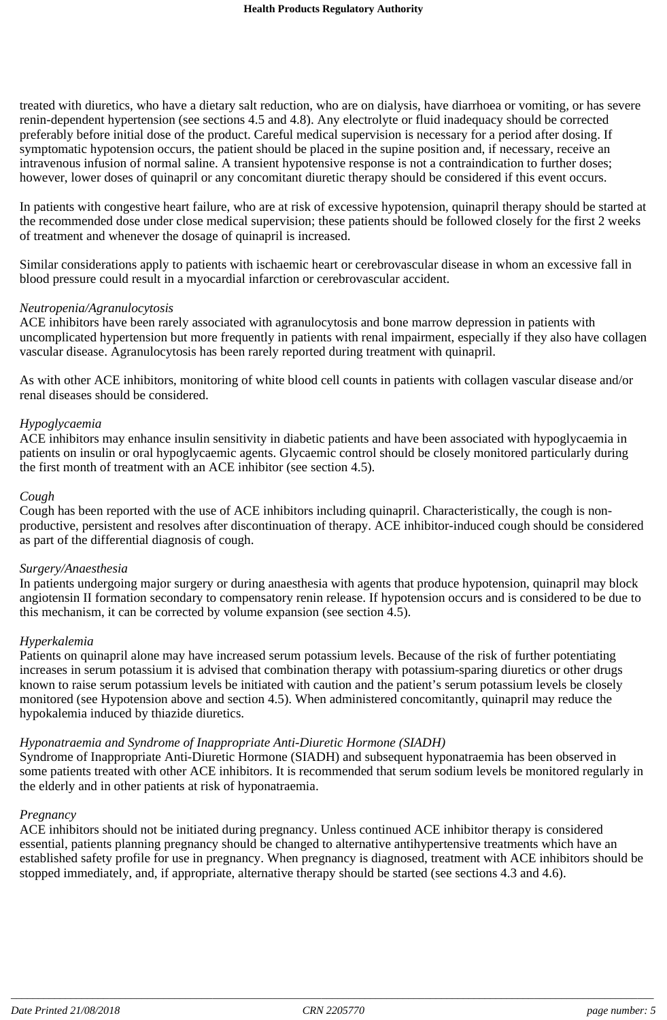treated with diuretics, who have a dietary salt reduction, who are on dialysis, have diarrhoea or vomiting, or has severe renin-dependent hypertension (see sections 4.5 and 4.8). Any electrolyte or fluid inadequacy should be corrected preferably before initial dose of the product. Careful medical supervision is necessary for a period after dosing. If symptomatic hypotension occurs, the patient should be placed in the supine position and, if necessary, receive an intravenous infusion of normal saline. A transient hypotensive response is not a contraindication to further doses; however, lower doses of quinapril or any concomitant diuretic therapy should be considered if this event occurs.

In patients with congestive heart failure, who are at risk of excessive hypotension, quinapril therapy should be started at the recommended dose under close medical supervision; these patients should be followed closely for the first 2 weeks of treatment and whenever the dosage of quinapril is increased.

Similar considerations apply to patients with ischaemic heart or cerebrovascular disease in whom an excessive fall in blood pressure could result in a myocardial infarction or cerebrovascular accident.

#### *Neutropenia/Agranulocytosis*

ACE inhibitors have been rarely associated with agranulocytosis and bone marrow depression in patients with uncomplicated hypertension but more frequently in patients with renal impairment, especially if they also have collagen vascular disease. Agranulocytosis has been rarely reported during treatment with quinapril.

As with other ACE inhibitors, monitoring of white blood cell counts in patients with collagen vascular disease and/or renal diseases should be considered.

#### *Hypoglycaemia*

ACE inhibitors may enhance insulin sensitivity in diabetic patients and have been associated with hypoglycaemia in patients on insulin or oral hypoglycaemic agents. Glycaemic control should be closely monitored particularly during the first month of treatment with an ACE inhibitor (see section 4.5).

#### *Cough*

Cough has been reported with the use of ACE inhibitors including quinapril. Characteristically, the cough is nonproductive, persistent and resolves after discontinuation of therapy. ACE inhibitor-induced cough should be considered as part of the differential diagnosis of cough.

#### *Surgery/Anaesthesia*

In patients undergoing major surgery or during anaesthesia with agents that produce hypotension, quinapril may block angiotensin II formation secondary to compensatory renin release. If hypotension occurs and is considered to be due to this mechanism, it can be corrected by volume expansion (see section 4.5).

#### *Hyperkalemia*

Patients on quinapril alone may have increased serum potassium levels. Because of the risk of further potentiating increases in serum potassium it is advised that combination therapy with potassium-sparing diuretics or other drugs known to raise serum potassium levels be initiated with caution and the patient's serum potassium levels be closely monitored (see Hypotension above and section 4.5). When administered concomitantly, quinapril may reduce the hypokalemia induced by thiazide diuretics.

### *Hyponatraemia and Syndrome of Inappropriate Anti-Diuretic Hormone (SIADH)*

Syndrome of Inappropriate Anti-Diuretic Hormone (SIADH) and subsequent hyponatraemia has been observed in some patients treated with other ACE inhibitors. It is recommended that serum sodium levels be monitored regularly in the elderly and in other patients at risk of hyponatraemia.

#### *Pregnancy*

ACE inhibitors should not be initiated during pregnancy. Unless continued ACE inhibitor therapy is considered essential, patients planning pregnancy should be changed to alternative antihypertensive treatments which have an established safety profile for use in pregnancy. When pregnancy is diagnosed, treatment with ACE inhibitors should be stopped immediately, and, if appropriate, alternative therapy should be started (see sections 4.3 and 4.6).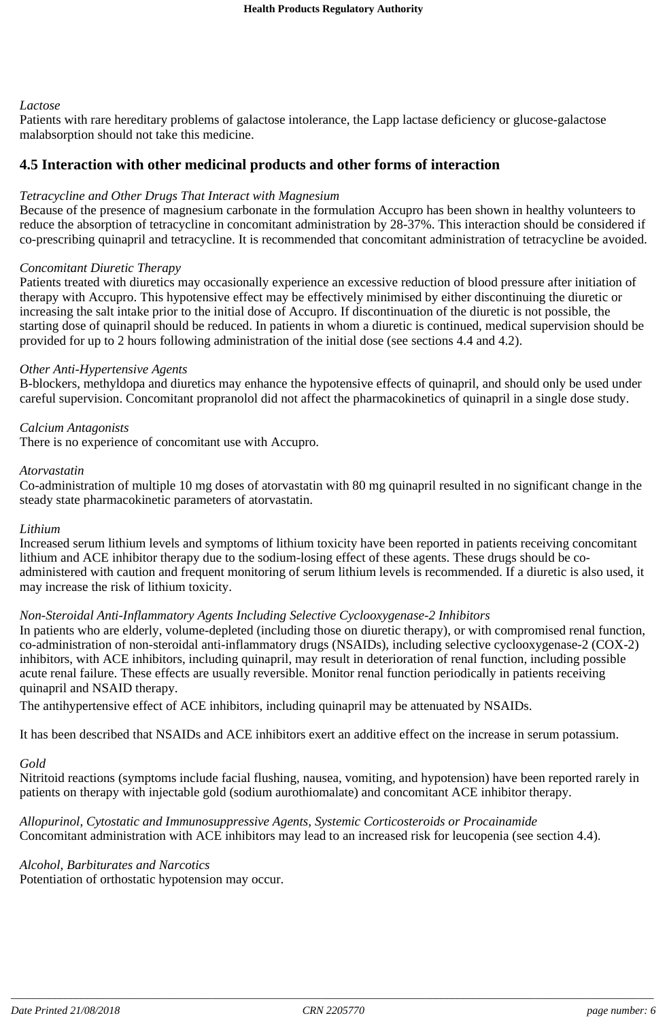### *Lactose*

Patients with rare hereditary problems of galactose intolerance, the Lapp lactase deficiency or glucose-galactose malabsorption should not take this medicine.

### **4.5 Interaction with other medicinal products and other forms of interaction**

### *Tetracycline and Other Drugs That Interact with Magnesium*

Because of the presence of magnesium carbonate in the formulation Accupro has been shown in healthy volunteers to reduce the absorption of tetracycline in concomitant administration by 28-37%. This interaction should be considered if co-prescribing quinapril and tetracycline. It is recommended that concomitant administration of tetracycline be avoided.

#### *Concomitant Diuretic Therapy*

Patients treated with diuretics may occasionally experience an excessive reduction of blood pressure after initiation of therapy with Accupro. This hypotensive effect may be effectively minimised by either discontinuing the diuretic or increasing the salt intake prior to the initial dose of Accupro. If discontinuation of the diuretic is not possible, the starting dose of quinapril should be reduced. In patients in whom a diuretic is continued, medical supervision should be provided for up to 2 hours following administration of the initial dose (see sections 4.4 and 4.2).

#### *Other Anti-Hypertensive Agents*

B-blockers, methyldopa and diuretics may enhance the hypotensive effects of quinapril, and should only be used under careful supervision. Concomitant propranolol did not affect the pharmacokinetics of quinapril in a single dose study.

#### *Calcium Antagonists*

There is no experience of concomitant use with Accupro.

#### *Atorvastatin*

Co-administration of multiple 10 mg doses of atorvastatin with 80 mg quinapril resulted in no significant change in the steady state pharmacokinetic parameters of atorvastatin.

#### *Lithium*

Increased serum lithium levels and symptoms of lithium toxicity have been reported in patients receiving concomitant lithium and ACE inhibitor therapy due to the sodium-losing effect of these agents. These drugs should be coadministered with caution and frequent monitoring of serum lithium levels is recommended. If a diuretic is also used, it may increase the risk of lithium toxicity.

### *Non-Steroidal Anti-Inflammatory Agents Including Selective Cyclooxygenase-2 Inhibitors*

In patients who are elderly, volume-depleted (including those on diuretic therapy), or with compromised renal function, co-administration of non-steroidal anti-inflammatory drugs (NSAIDs), including selective cyclooxygenase-2 (COX-2) inhibitors, with ACE inhibitors, including quinapril, may result in deterioration of renal function, including possible acute renal failure. These effects are usually reversible. Monitor renal function periodically in patients receiving quinapril and NSAID therapy.

The antihypertensive effect of ACE inhibitors, including quinapril may be attenuated by NSAIDs.

It has been described that NSAIDs and ACE inhibitors exert an additive effect on the increase in serum potassium.

## *Gold*

Nitritoid reactions (symptoms include facial flushing, nausea, vomiting, and hypotension) have been reported rarely in patients on therapy with injectable gold (sodium aurothiomalate) and concomitant ACE inhibitor therapy.

*Allopurinol, Cytostatic and Immunosuppressive Agents, Systemic Corticosteroids or Procainamide* Concomitant administration with ACE inhibitors may lead to an increased risk for leucopenia (see section 4.4).

### *Alcohol, Barbiturates and Narcotics*

Potentiation of orthostatic hypotension may occur.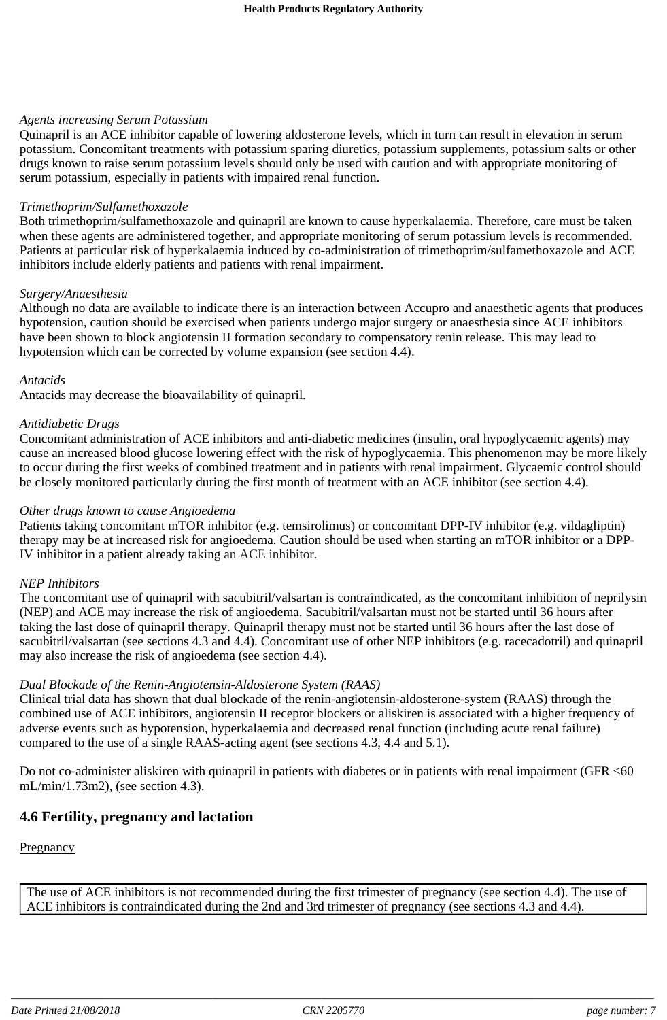#### *Agents increasing Serum Potassium*

Quinapril is an ACE inhibitor capable of lowering aldosterone levels, which in turn can result in elevation in serum potassium. Concomitant treatments with potassium sparing diuretics, potassium supplements, potassium salts or other drugs known to raise serum potassium levels should only be used with caution and with appropriate monitoring of serum potassium, especially in patients with impaired renal function.

#### *Trimethoprim/Sulfamethoxazole*

Both trimethoprim/sulfamethoxazole and quinapril are known to cause hyperkalaemia. Therefore, care must be taken when these agents are administered together, and appropriate monitoring of serum potassium levels is recommended. Patients at particular risk of hyperkalaemia induced by co-administration of trimethoprim/sulfamethoxazole and ACE inhibitors include elderly patients and patients with renal impairment.

#### *Surgery/Anaesthesia*

Although no data are available to indicate there is an interaction between Accupro and anaesthetic agents that produces hypotension, caution should be exercised when patients undergo major surgery or anaesthesia since ACE inhibitors have been shown to block angiotensin II formation secondary to compensatory renin release. This may lead to hypotension which can be corrected by volume expansion (see section 4.4).

#### *Antacids*

Antacids may decrease the bioavailability of quinapril.

#### *Antidiabetic Drugs*

Concomitant administration of ACE inhibitors and anti-diabetic medicines (insulin, oral hypoglycaemic agents) may cause an increased blood glucose lowering effect with the risk of hypoglycaemia. This phenomenon may be more likely to occur during the first weeks of combined treatment and in patients with renal impairment. Glycaemic control should be closely monitored particularly during the first month of treatment with an ACE inhibitor (see section 4.4).

### *Other drugs known to cause Angioedema*

Patients taking concomitant mTOR inhibitor (e.g. temsirolimus) or concomitant DPP-IV inhibitor (e.g. vildagliptin) therapy may be at increased risk for angioedema. Caution should be used when starting an mTOR inhibitor or a DPP-IV inhibitor in a patient already taking an ACE inhibitor.

#### *NEP Inhibitors*

The concomitant use of quinapril with sacubitril/valsartan is contraindicated, as the concomitant inhibition of neprilysin (NEP) and ACE may increase the risk of angioedema. Sacubitril/valsartan must not be started until 36 hours after taking the last dose of quinapril therapy. Quinapril therapy must not be started until 36 hours after the last dose of sacubitril/valsartan (see sections 4.3 and 4.4). Concomitant use of other NEP inhibitors (e.g. racecadotril) and quinapril may also increase the risk of angioedema (see section 4.4).

### *Dual Blockade of the Renin-Angiotensin-Aldosterone System (RAAS)*

Clinical trial data has shown that dual blockade of the renin-angiotensin-aldosterone-system (RAAS) through the combined use of ACE inhibitors, angiotensin II receptor blockers or aliskiren is associated with a higher frequency of adverse events such as hypotension, hyperkalaemia and decreased renal function (including acute renal failure) compared to the use of a single RAAS-acting agent (see sections 4.3, 4.4 and 5.1).

Do not co-administer aliskiren with quinapril in patients with diabetes or in patients with renal impairment (GFR <60 mL/min/1.73m2), (see section 4.3).

## **4.6 Fertility, pregnancy and lactation**

### **Pregnancy**

The use of ACE inhibitors is not recommended during the first trimester of pregnancy (see section 4.4). The use of ACE inhibitors is contraindicated during the 2nd and 3rd trimester of pregnancy (see sections 4.3 and 4.4).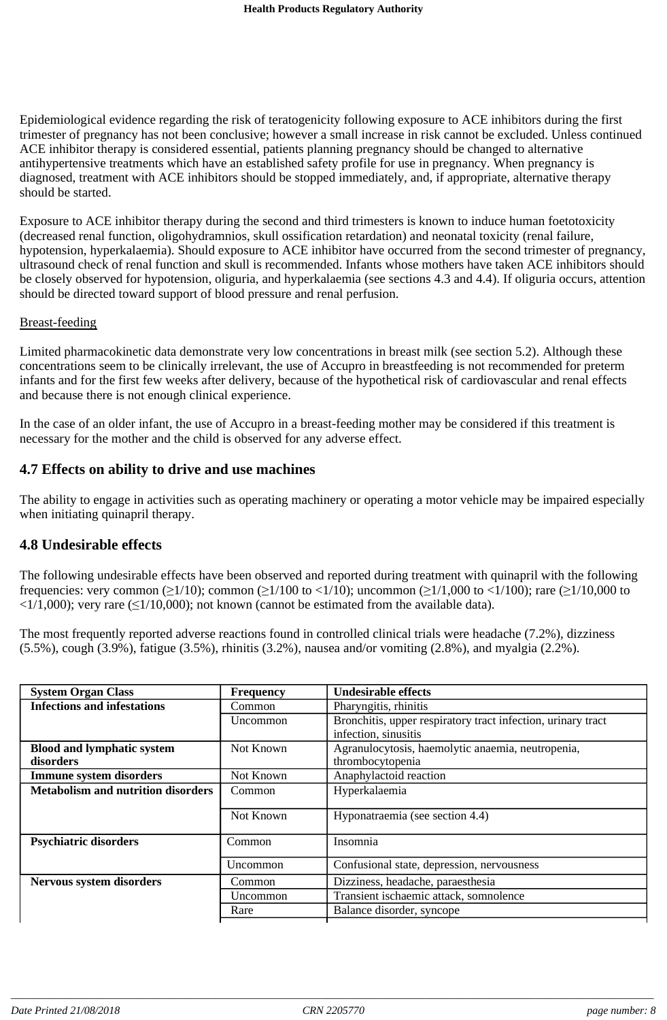Epidemiological evidence regarding the risk of teratogenicity following exposure to ACE inhibitors during the first trimester of pregnancy has not been conclusive; however a small increase in risk cannot be excluded. Unless continued ACE inhibitor therapy is considered essential, patients planning pregnancy should be changed to alternative antihypertensive treatments which have an established safety profile for use in pregnancy. When pregnancy is diagnosed, treatment with ACE inhibitors should be stopped immediately, and, if appropriate, alternative therapy should be started.

Exposure to ACE inhibitor therapy during the second and third trimesters is known to induce human foetotoxicity (decreased renal function, oligohydramnios, skull ossification retardation) and neonatal toxicity (renal failure, hypotension, hyperkalaemia). Should exposure to ACE inhibitor have occurred from the second trimester of pregnancy, ultrasound check of renal function and skull is recommended. Infants whose mothers have taken ACE inhibitors should be closely observed for hypotension, oliguria, and hyperkalaemia (see sections 4.3 and 4.4). If oliguria occurs, attention should be directed toward support of blood pressure and renal perfusion.

#### Breast-feeding

Limited pharmacokinetic data demonstrate very low concentrations in breast milk (see section 5.2). Although these concentrations seem to be clinically irrelevant, the use of Accupro in breastfeeding is not recommended for preterm infants and for the first few weeks after delivery, because of the hypothetical risk of cardiovascular and renal effects and because there is not enough clinical experience.

In the case of an older infant, the use of Accupro in a breast-feeding mother may be considered if this treatment is necessary for the mother and the child is observed for any adverse effect.

## **4.7 Effects on ability to drive and use machines**

The ability to engage in activities such as operating machinery or operating a motor vehicle may be impaired especially when initiating quinapril therapy.

### **4.8 Undesirable effects**

The following undesirable effects have been observed and reported during treatment with quinapril with the following frequencies: very common ( $\geq 1/10$ ); common ( $\geq 1/100$  to  $\lt 1/10$ ); uncommon ( $\geq 1/1,000$  to  $\lt 1/100$ ); rare ( $\geq 1/10,000$  to  $\langle 1/1,000 \rangle$ ; very rare ( $\leq 1/10,000$ ); not known (cannot be estimated from the available data).

The most frequently reported adverse reactions found in controlled clinical trials were headache (7.2%), dizziness (5.5%), cough (3.9%), fatigue (3.5%), rhinitis (3.2%), nausea and/or vomiting (2.8%), and myalgia (2.2%).

| <b>System Organ Class</b>                      | <b>Frequency</b> | <b>Undesirable effects</b>                                                           |
|------------------------------------------------|------------------|--------------------------------------------------------------------------------------|
| <b>Infections and infestations</b>             | Common           | Pharyngitis, rhinitis                                                                |
|                                                | Uncommon         | Bronchitis, upper respiratory tract infection, urinary tract<br>infection, sinusitis |
| <b>Blood and lymphatic system</b><br>disorders | Not Known        | Agranulocytosis, haemolytic anaemia, neutropenia,<br>thrombocytopenia                |
| <b>Immune system disorders</b>                 | Not Known        | Anaphylactoid reaction                                                               |
| <b>Metabolism and nutrition disorders</b>      | Common           | Hyperkalaemia                                                                        |
|                                                | Not Known        | Hyponatraemia (see section 4.4)                                                      |
| <b>Psychiatric disorders</b>                   | Common           | Insomnia                                                                             |
|                                                | Uncommon         | Confusional state, depression, nervousness                                           |
| Nervous system disorders                       | Common           | Dizziness, headache, paraesthesia                                                    |
|                                                | Uncommon         | Transient ischaemic attack, somnolence                                               |
|                                                | Rare             | Balance disorder, syncope                                                            |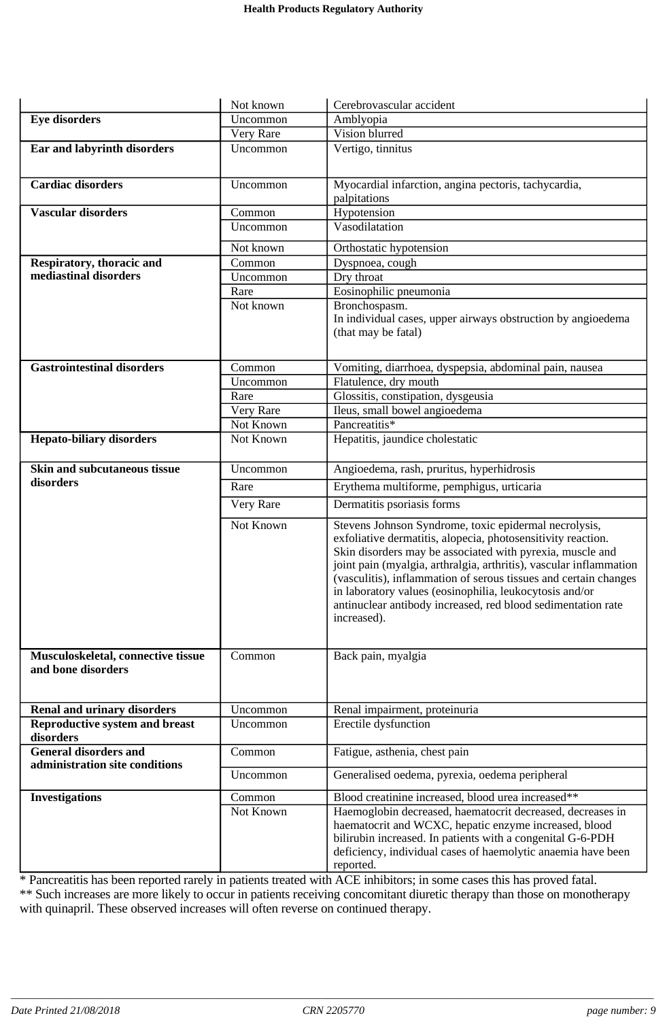|                                                          | Not known        | Cerebrovascular accident                                                                                                    |
|----------------------------------------------------------|------------------|-----------------------------------------------------------------------------------------------------------------------------|
| <b>Eye disorders</b>                                     | Uncommon         | Amblyopia                                                                                                                   |
|                                                          | Very Rare        | Vision blurred                                                                                                              |
| Ear and labyrinth disorders                              | Uncommon         | Vertigo, tinnitus                                                                                                           |
|                                                          |                  |                                                                                                                             |
| <b>Cardiac disorders</b>                                 | Uncommon         | Myocardial infarction, angina pectoris, tachycardia,                                                                        |
|                                                          |                  | palpitations                                                                                                                |
| <b>Vascular disorders</b>                                | Common           | Hypotension                                                                                                                 |
|                                                          | Uncommon         | Vasodilatation                                                                                                              |
|                                                          | Not known        | Orthostatic hypotension                                                                                                     |
| Respiratory, thoracic and                                | Common           | Dyspnoea, cough                                                                                                             |
| mediastinal disorders                                    | Uncommon         | Dry throat                                                                                                                  |
|                                                          | Rare             | Eosinophilic pneumonia                                                                                                      |
|                                                          | Not known        | Bronchospasm.                                                                                                               |
|                                                          |                  | In individual cases, upper airways obstruction by angioedema                                                                |
|                                                          |                  | (that may be fatal)                                                                                                         |
|                                                          |                  |                                                                                                                             |
|                                                          |                  |                                                                                                                             |
| <b>Gastrointestinal disorders</b>                        | Common           | Vomiting, diarrhoea, dyspepsia, abdominal pain, nausea                                                                      |
|                                                          | Uncommon<br>Rare | Flatulence, dry mouth                                                                                                       |
|                                                          | Very Rare        | Glossitis, constipation, dysgeusia<br>Ileus, small bowel angioedema                                                         |
|                                                          | Not Known        | Pancreatitis*                                                                                                               |
| <b>Hepato-biliary disorders</b>                          | Not Known        | Hepatitis, jaundice cholestatic                                                                                             |
|                                                          |                  |                                                                                                                             |
| Skin and subcutaneous tissue                             | Uncommon         | Angioedema, rash, pruritus, hyperhidrosis                                                                                   |
| disorders                                                | Rare             | Erythema multiforme, pemphigus, urticaria                                                                                   |
|                                                          |                  |                                                                                                                             |
|                                                          | Very Rare        | Dermatitis psoriasis forms                                                                                                  |
|                                                          | Not Known        | Stevens Johnson Syndrome, toxic epidermal necrolysis,                                                                       |
|                                                          |                  | exfoliative dermatitis, alopecia, photosensitivity reaction.                                                                |
|                                                          |                  | Skin disorders may be associated with pyrexia, muscle and                                                                   |
|                                                          |                  | joint pain (myalgia, arthralgia, arthritis), vascular inflammation                                                          |
|                                                          |                  | (vasculitis), inflammation of serous tissues and certain changes<br>in laboratory values (eosinophilia, leukocytosis and/or |
|                                                          |                  | antinuclear antibody increased, red blood sedimentation rate                                                                |
|                                                          |                  | increased).                                                                                                                 |
|                                                          |                  |                                                                                                                             |
|                                                          |                  |                                                                                                                             |
| Musculoskeletal, connective tissue<br>and bone disorders | Common           | Back pain, myalgia                                                                                                          |
|                                                          |                  |                                                                                                                             |
|                                                          |                  |                                                                                                                             |
| <b>Renal and urinary disorders</b>                       | Uncommon         | Renal impairment, proteinuria                                                                                               |
| <b>Reproductive system and breast</b>                    | Uncommon         | Erectile dysfunction                                                                                                        |
| disorders                                                |                  |                                                                                                                             |
| <b>General disorders and</b>                             | Common           | Fatigue, asthenia, chest pain                                                                                               |
| administration site conditions                           | Uncommon         | Generalised oedema, pyrexia, oedema peripheral                                                                              |
|                                                          |                  |                                                                                                                             |
| <b>Investigations</b>                                    | Common           | Blood creatinine increased, blood urea increased**                                                                          |
|                                                          | Not Known        | Haemoglobin decreased, haematocrit decreased, decreases in                                                                  |
|                                                          |                  | haematocrit and WCXC, hepatic enzyme increased, blood                                                                       |
|                                                          |                  | bilirubin increased. In patients with a congenital G-6-PDH                                                                  |
|                                                          |                  | deficiency, individual cases of haemolytic anaemia have been<br>reported.                                                   |
|                                                          |                  |                                                                                                                             |

\* Pancreatitis has been reported rarely in patients treated with ACE inhibitors; in some cases this has proved fatal. \*\* Such increases are more likely to occur in patients receiving concomitant diuretic therapy than those on monotherapy with quinapril. These observed increases will often reverse on continued therapy.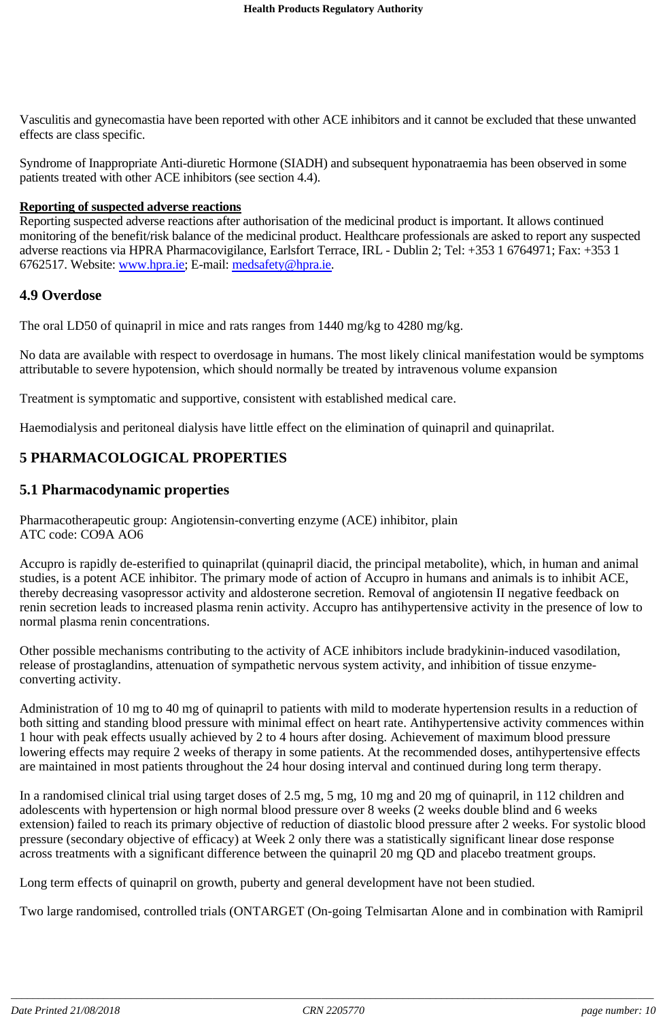Vasculitis and gynecomastia have been reported with other ACE inhibitors and it cannot be excluded that these unwanted effects are class specific.

Syndrome of Inappropriate Anti-diuretic Hormone (SIADH) and subsequent hyponatraemia has been observed in some patients treated with other ACE inhibitors (see section 4.4).

#### **Reporting of suspected adverse reactions**

Reporting suspected adverse reactions after authorisation of the medicinal product is important. It allows continued monitoring of the benefit/risk balance of the medicinal product. Healthcare professionals are asked to report any suspected adverse reactions via HPRA Pharmacovigilance, Earlsfort Terrace, IRL - Dublin 2; Tel: +353 1 6764971; Fax: +353 1 6762517. Website: www.hpra.ie; E-mail: medsafety@hpra.ie.

### **4.9 Overdose**

The oral LD50 of quinapril in mice and rats ranges from 1440 mg/kg to 4280 mg/kg.

No data are available with respect to overdosage in humans. The most likely clinical manifestation would be symptoms attributable to severe hypotension, which should normally be treated by intravenous volume expansion

Treatment is symptomatic and supportive, consistent with established medical care.

Haemodialysis and peritoneal dialysis have little effect on the elimination of quinapril and quinaprilat.

## **5 PHARMACOLOGICAL PROPERTIES**

### **5.1 Pharmacodynamic properties**

Pharmacotherapeutic group: Angiotensin-converting enzyme (ACE) inhibitor, plain ATC code: CO9A AO6

Accupro is rapidly de-esterified to quinaprilat (quinapril diacid, the principal metabolite), which, in human and animal studies, is a potent ACE inhibitor. The primary mode of action of Accupro in humans and animals is to inhibit ACE, thereby decreasing vasopressor activity and aldosterone secretion. Removal of angiotensin II negative feedback on renin secretion leads to increased plasma renin activity. Accupro has antihypertensive activity in the presence of low to normal plasma renin concentrations.

Other possible mechanisms contributing to the activity of ACE inhibitors include bradykinin-induced vasodilation, release of prostaglandins, attenuation of sympathetic nervous system activity, and inhibition of tissue enzymeconverting activity.

Administration of 10 mg to 40 mg of quinapril to patients with mild to moderate hypertension results in a reduction of both sitting and standing blood pressure with minimal effect on heart rate. Antihypertensive activity commences within 1 hour with peak effects usually achieved by 2 to 4 hours after dosing. Achievement of maximum blood pressure lowering effects may require 2 weeks of therapy in some patients. At the recommended doses, antihypertensive effects are maintained in most patients throughout the 24 hour dosing interval and continued during long term therapy.

In a randomised clinical trial using target doses of 2.5 mg, 5 mg, 10 mg and 20 mg of quinapril, in 112 children and adolescents with hypertension or high normal blood pressure over 8 weeks (2 weeks double blind and 6 weeks extension) failed to reach its primary objective of reduction of diastolic blood pressure after 2 weeks. For systolic blood pressure (secondary objective of efficacy) at Week 2 only there was a statistically significant linear dose response across treatments with a significant difference between the quinapril 20 mg QD and placebo treatment groups.

Long term effects of quinapril on growth, puberty and general development have not been studied.

Two large randomised, controlled trials (ONTARGET (On-going Telmisartan Alone and in combination with Ramipril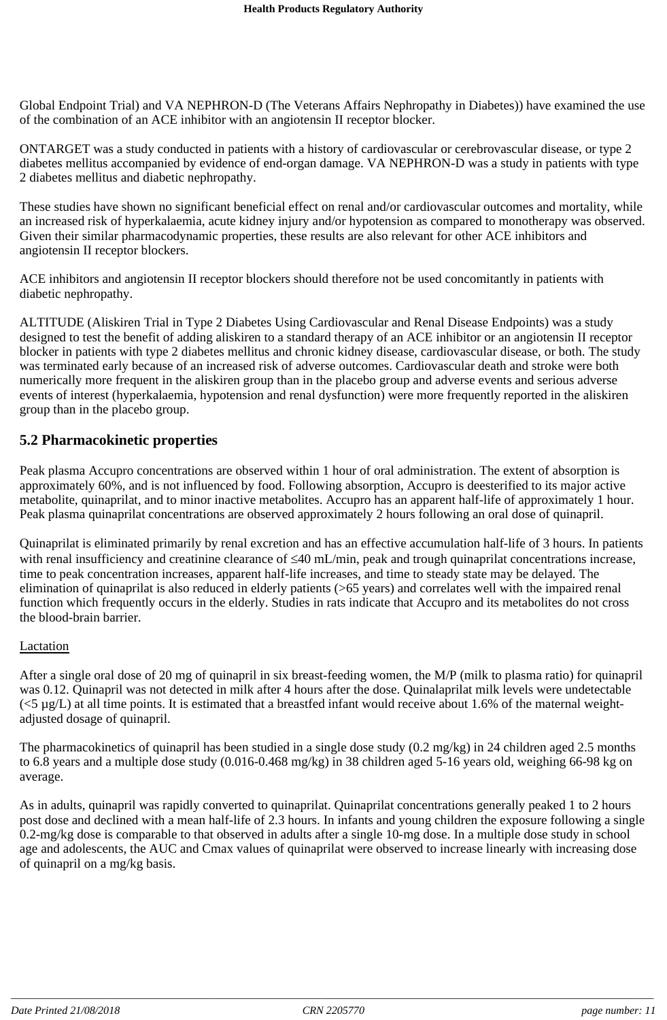Global Endpoint Trial) and VA NEPHRON-D (The Veterans Affairs Nephropathy in Diabetes)) have examined the use of the combination of an ACE inhibitor with an angiotensin II receptor blocker.

ONTARGET was a study conducted in patients with a history of cardiovascular or cerebrovascular disease, or type 2 diabetes mellitus accompanied by evidence of end-organ damage. VA NEPHRON-D was a study in patients with type 2 diabetes mellitus and diabetic nephropathy.

These studies have shown no significant beneficial effect on renal and/or cardiovascular outcomes and mortality, while an increased risk of hyperkalaemia, acute kidney injury and/or hypotension as compared to monotherapy was observed. Given their similar pharmacodynamic properties, these results are also relevant for other ACE inhibitors and angiotensin II receptor blockers.

ACE inhibitors and angiotensin II receptor blockers should therefore not be used concomitantly in patients with diabetic nephropathy.

ALTITUDE (Aliskiren Trial in Type 2 Diabetes Using Cardiovascular and Renal Disease Endpoints) was a study designed to test the benefit of adding aliskiren to a standard therapy of an ACE inhibitor or an angiotensin II receptor blocker in patients with type 2 diabetes mellitus and chronic kidney disease, cardiovascular disease, or both. The study was terminated early because of an increased risk of adverse outcomes. Cardiovascular death and stroke were both numerically more frequent in the aliskiren group than in the placebo group and adverse events and serious adverse events of interest (hyperkalaemia, hypotension and renal dysfunction) were more frequently reported in the aliskiren group than in the placebo group.

## **5.2 Pharmacokinetic properties**

Peak plasma Accupro concentrations are observed within 1 hour of oral administration. The extent of absorption is approximately 60%, and is not influenced by food. Following absorption, Accupro is deesterified to its major active metabolite, quinaprilat, and to minor inactive metabolites. Accupro has an apparent half-life of approximately 1 hour. Peak plasma quinaprilat concentrations are observed approximately 2 hours following an oral dose of quinapril.

Quinaprilat is eliminated primarily by renal excretion and has an effective accumulation half-life of 3 hours. In patients with renal insufficiency and creatinine clearance of  $\leq 40$  mL/min, peak and trough quinaprilat concentrations increase, time to peak concentration increases, apparent half-life increases, and time to steady state may be delayed. The elimination of quinaprilat is also reduced in elderly patients (>65 years) and correlates well with the impaired renal function which frequently occurs in the elderly. Studies in rats indicate that Accupro and its metabolites do not cross the blood-brain barrier.

#### Lactation

After a single oral dose of 20 mg of quinapril in six breast-feeding women, the M/P (milk to plasma ratio) for quinapril was 0.12. Quinapril was not detected in milk after 4 hours after the dose. Quinalaprilat milk levels were undetectable  $(<5 \mu g/L$ ) at all time points. It is estimated that a breastfed infant would receive about 1.6% of the maternal weightadjusted dosage of quinapril.

The pharmacokinetics of quinapril has been studied in a single dose study (0.2 mg/kg) in 24 children aged 2.5 months to 6.8 years and a multiple dose study (0.016-0.468 mg/kg) in 38 children aged 5-16 years old, weighing 66-98 kg on average.

As in adults, quinapril was rapidly converted to quinaprilat. Quinaprilat concentrations generally peaked 1 to 2 hours post dose and declined with a mean half-life of 2.3 hours. In infants and young children the exposure following a single 0.2-mg/kg dose is comparable to that observed in adults after a single 10-mg dose. In a multiple dose study in school age and adolescents, the AUC and Cmax values of quinaprilat were observed to increase linearly with increasing dose of quinapril on a mg/kg basis.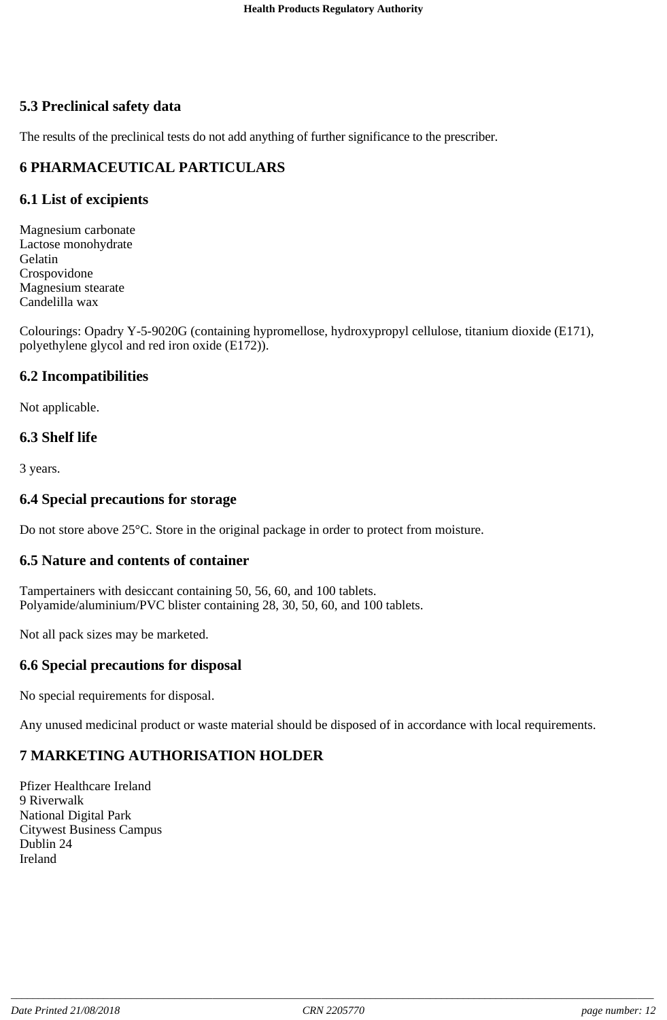## **5.3 Preclinical safety data**

The results of the preclinical tests do not add anything of further significance to the prescriber.

## **6 PHARMACEUTICAL PARTICULARS**

## **6.1 List of excipients**

Magnesium carbonate Lactose monohydrate Gelatin Crospovidone Magnesium stearate Candelilla wax

Colourings: Opadry Y-5-9020G (containing hypromellose, hydroxypropyl cellulose, titanium dioxide (E171), polyethylene glycol and red iron oxide (E172)).

## **6.2 Incompatibilities**

Not applicable.

## **6.3 Shelf life**

3 years.

## **6.4 Special precautions for storage**

Do not store above 25°C. Store in the original package in order to protect from moisture.

## **6.5 Nature and contents of container**

Tampertainers with desiccant containing 50, 56, 60, and 100 tablets. Polyamide/aluminium/PVC blister containing 28, 30, 50, 60, and 100 tablets.

Not all pack sizes may be marketed.

## **6.6 Special precautions for disposal**

No special requirements for disposal.

Any unused medicinal product or waste material should be disposed of in accordance with local requirements.

## **7 MARKETING AUTHORISATION HOLDER**

Pfizer Healthcare Ireland 9 Riverwalk National Digital Park Citywest Business Campus Dublin 24 Ireland